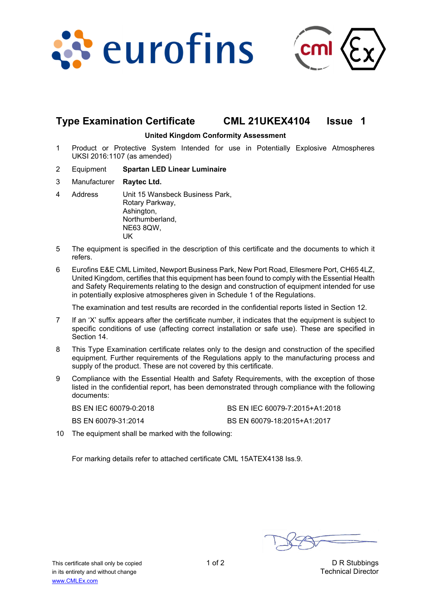



## **Type Examination Certificate CML 21UKEX4104 Issue 1**

#### **United Kingdom Conformity Assessment**

- 1 Product or Protective System Intended for use in Potentially Explosive Atmospheres UKSI 2016:1107 (as amended)
- 2 Equipment **Spartan LED Linear Luminaire**
- 3 Manufacturer **Raytec Ltd.**
- 4 Address Unit 15 Wansbeck Business Park, Rotary Parkway, Ashington, Northumberland, NE63 8QW, UK
- 5 The equipment is specified in the description of this certificate and the documents to which it refers.
- 6 Eurofins E&E CML Limited, Newport Business Park, New Port Road, Ellesmere Port, CH65 4LZ, United Kingdom, certifies that this equipment has been found to comply with the Essential Health and Safety Requirements relating to the design and construction of equipment intended for use in potentially explosive atmospheres given in Schedule 1 of the Regulations.

The examination and test results are recorded in the confidential reports listed in Section 12.

- 7 If an 'X' suffix appears after the certificate number, it indicates that the equipment is subject to specific conditions of use (affecting correct installation or safe use). These are specified in Section 14.
- 8 This Type Examination certificate relates only to the design and construction of the specified equipment. Further requirements of the Regulations apply to the manufacturing process and supply of the product. These are not covered by this certificate.
- 9 Compliance with the Essential Health and Safety Requirements, with the exception of those listed in the confidential report, has been demonstrated through compliance with the following documents:

| BS EN IEC 60079-0:2018 | BS EN IEC 60079-7:2015+A1:2018 |
|------------------------|--------------------------------|
| BS EN 60079-31:2014    | BS EN 60079-18:2015+A1:2017    |

10 The equipment shall be marked with the following:

For marking details refer to attached certificate CML 15ATEX4138 Iss.9.

This certificate shall only be copied 1 of 2 1 of 2 D R Stubbings in its entirety and without change Technical Director www.CMLEx.com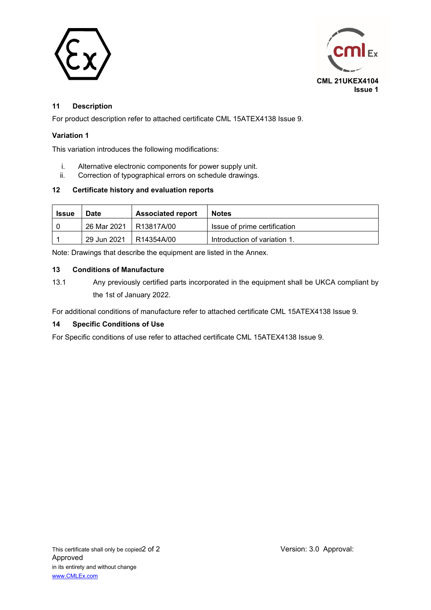



## **11 Description**

For product description refer to attached certificate CML 15ATEX4138 Issue 9.

#### **Variation 1**

This variation introduces the following modifications:

- i. Alternative electronic components for power supply unit.
- ii. Correction of typographical errors on schedule drawings.

#### **12 Certificate history and evaluation reports**

| <b>Issue</b> | <b>Date</b> | <b>Associated report</b> | <b>Notes</b>                 |
|--------------|-------------|--------------------------|------------------------------|
|              | 26 Mar 2021 | R13817A/00               | Issue of prime certification |
|              | 29 Jun 2021 | R14354A/00               | Introduction of variation 1. |

Note: Drawings that describe the equipment are listed in the Annex.

#### **13 Conditions of Manufacture**

13.1 Any previously certified parts incorporated in the equipment shall be UKCA compliant by the 1st of January 2022.

For additional conditions of manufacture refer to attached certificate CML 15ATEX4138 Issue 9.

#### **14 Specific Conditions of Use**

For Specific conditions of use refer to attached certificate CML 15ATEX4138 Issue 9.